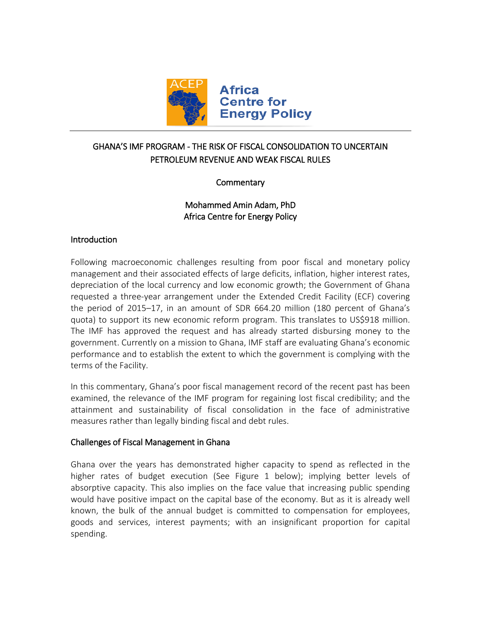

# GHANA'S IMF PROGRAM - THE RISK OF FISCAL CONSOLIDATION TO UNCERTAIN PETROLEUM REVENUE AND WEAK FISCAL RULES

## Commentary

# Mohammed Amin Adam, PhD Africa Centre for Energy Policy

## **Introduction**

Following macroeconomic challenges resulting from poor fiscal and monetary policy management and their associated effects of large deficits, inflation, higher interest rates, depreciation of the local currency and low economic growth; the Government of Ghana requested a three-year arrangement under the Extended Credit Facility (ECF) covering the period of 2015–17, in an amount of SDR 664.20 million (180 percent of Ghana's quota) to support its new economic reform program. This translates to US\$918 million. The IMF has approved the request and has already started disbursing money to the government. Currently on a mission to Ghana, IMF staff are evaluating Ghana's economic performance and to establish the extent to which the government is complying with the terms of the Facility.

In this commentary, Ghana's poor fiscal management record of the recent past has been examined, the relevance of the IMF program for regaining lost fiscal credibility; and the attainment and sustainability of fiscal consolidation in the face of administrative measures rather than legally binding fiscal and debt rules.

## Challenges of Fiscal Management in Ghana

Ghana over the years has demonstrated higher capacity to spend as reflected in the higher rates of budget execution (See Figure 1 below); implying better levels of absorptive capacity. This also implies on the face value that increasing public spending would have positive impact on the capital base of the economy. But as it is already well known, the bulk of the annual budget is committed to compensation for employees, goods and services, interest payments; with an insignificant proportion for capital spending.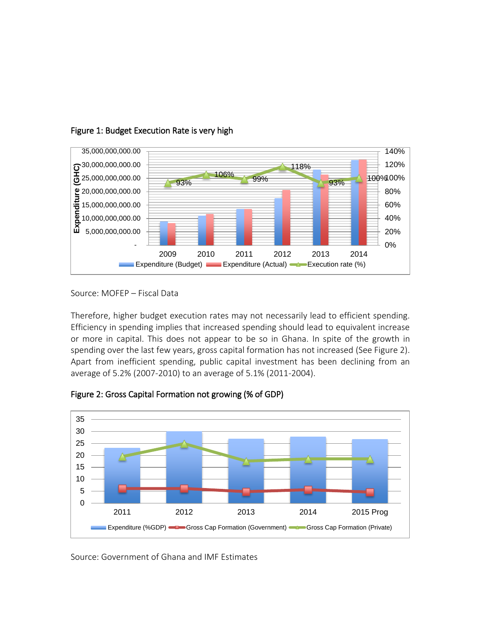

# Figure 1: Budget Execution Rate is very high

Source: MOFEP – Fiscal Data

Therefore, higher budget execution rates may not necessarily lead to efficient spending. Efficiency in spending implies that increased spending should lead to equivalent increase or more in capital. This does not appear to be so in Ghana. In spite of the growth in spending over the last few years, gross capital formation has not increased (See Figure 2). Apart from inefficient spending, public capital investment has been declining from an average of 5.2% (2007-2010) to an average of 5.1% (2011-2004).



2011 2012 2013 2014 2015 Prog

Expenditure (%GDP) Gross Cap Formation (Government) Gross Cap Formation (Private)

Figure 2: Gross Capital Formation not growing (% of GDP)

Source: Government of Ghana and IMF Estimates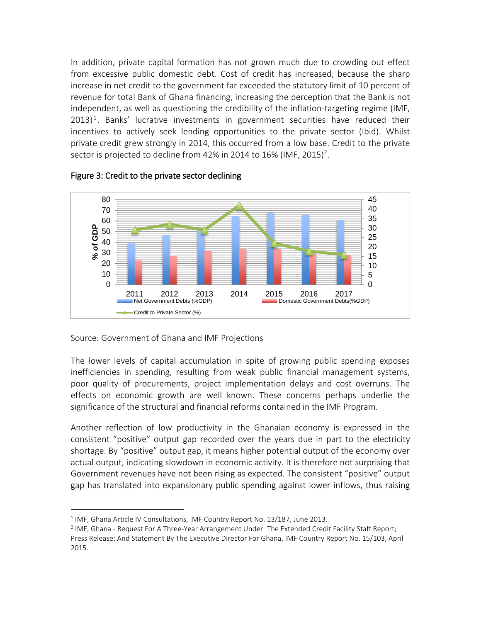In addition, private capital formation has not grown much due to crowding out effect from excessive public domestic debt. Cost of credit has increased, because the sharp increase in net credit to the government far exceeded the statutory limit of 10 percent of revenue for total Bank of Ghana financing, increasing the perception that the Bank is not independent, as well as questioning the credibility of the inflation-targeting regime (IMF,  $2013$ <sup>1</sup>. Banks' lucrative investments in government securities have reduced their incentives to actively seek lending opportunities to the private sector (Ibid). Whilst private credit grew strongly in 2014, this occurred from a low base. Credit to the private sector is projected to decline from 42% in 2014 to 16% (IMF, 2015)<sup>2</sup>.



Figure 3: Credit to the private sector declining

Source: Government of Ghana and IMF Projections

The lower levels of capital accumulation in spite of growing public spending exposes inefficiencies in spending, resulting from weak public financial management systems, poor quality of procurements, project implementation delays and cost overruns. The effects on economic growth are well known. These concerns perhaps underlie the significance of the structural and financial reforms contained in the IMF Program.

Another reflection of low productivity in the Ghanaian economy is expressed in the consistent "positive" output gap recorded over the years due in part to the electricity shortage. By "positive" output gap, it means higher potential output of the economy over actual output, indicating slowdown in economic activity. It is therefore not surprising that Government revenues have not been rising as expected. The consistent "positive" output gap has translated into expansionary public spending against lower inflows, thus raising

 $\overline{a}$ <sup>1</sup> IMF, Ghana Article IV Consultations, IMF Country Report No. 13/187, June 2013.

 $^2$  IMF, Ghana - Request For A Three-Year Arrangement Under The Extended Credit Facility Staff Report; Press Release; And Statement By The Executive Director For Ghana, IMF Country Report No. 15/103, April 2015.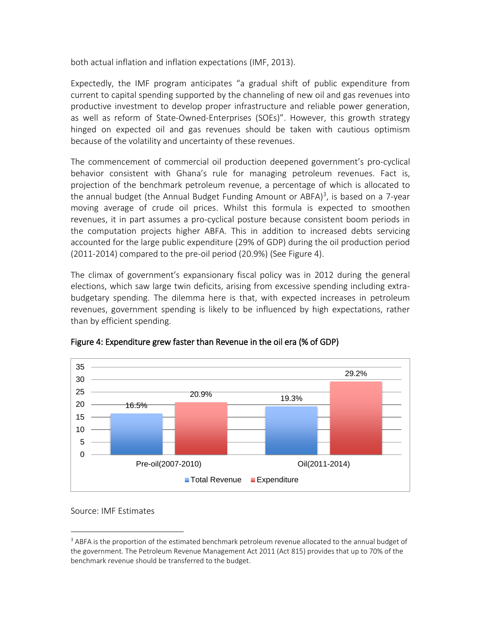both actual inflation and inflation expectations (IMF, 2013).

Expectedly, the IMF program anticipates "a gradual shift of public expenditure from current to capital spending supported by the channeling of new oil and gas revenues into productive investment to develop proper infrastructure and reliable power generation, as well as reform of State-Owned-Enterprises (SOEs)". However, this growth strategy hinged on expected oil and gas revenues should be taken with cautious optimism because of the volatility and uncertainty of these revenues.

The commencement of commercial oil production deepened government's pro-cyclical behavior consistent with Ghana's rule for managing petroleum revenues. Fact is, projection of the benchmark petroleum revenue, a percentage of which is allocated to the annual budget (the Annual Budget Funding Amount or ABFA)<sup>3</sup>, is based on a 7-year moving average of crude oil prices. Whilst this formula is expected to smoothen revenues, it in part assumes a pro-cyclical posture because consistent boom periods in the computation projects higher ABFA. This in addition to increased debts servicing accounted for the large public expenditure (29% of GDP) during the oil production period (2011-2014) compared to the pre-oil period (20.9%) (See Figure 4).

The climax of government's expansionary fiscal policy was in 2012 during the general elections, which saw large twin deficits, arising from excessive spending including extrabudgetary spending. The dilemma here is that, with expected increases in petroleum revenues, government spending is likely to be influenced by high expectations, rather than by efficient spending.





Source: IMF Estimates

 $\overline{a}$ 

 $3$  ABFA is the proportion of the estimated benchmark petroleum revenue allocated to the annual budget of the government. The Petroleum Revenue Management Act 2011 (Act 815) provides that up to 70% of the benchmark revenue should be transferred to the budget.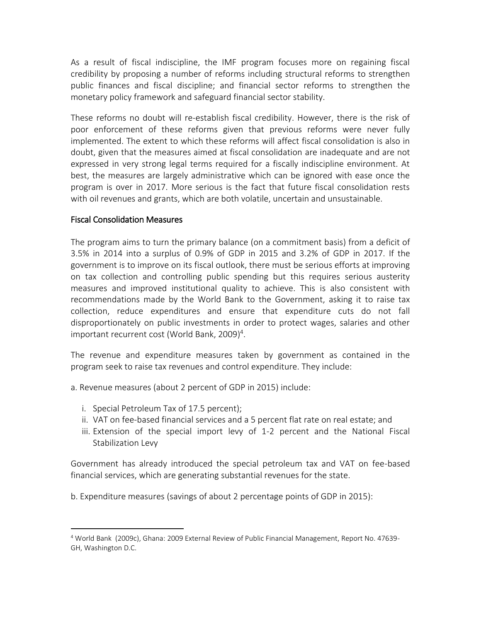As a result of fiscal indiscipline, the IMF program focuses more on regaining fiscal credibility by proposing a number of reforms including structural reforms to strengthen public finances and fiscal discipline; and financial sector reforms to strengthen the monetary policy framework and safeguard financial sector stability.

These reforms no doubt will re-establish fiscal credibility. However, there is the risk of poor enforcement of these reforms given that previous reforms were never fully implemented. The extent to which these reforms will affect fiscal consolidation is also in doubt, given that the measures aimed at fiscal consolidation are inadequate and are not expressed in very strong legal terms required for a fiscally indiscipline environment. At best, the measures are largely administrative which can be ignored with ease once the program is over in 2017. More serious is the fact that future fiscal consolidation rests with oil revenues and grants, which are both volatile, uncertain and unsustainable.

### Fiscal Consolidation Measures

The program aims to turn the primary balance (on a commitment basis) from a deficit of 3.5% in 2014 into a surplus of 0.9% of GDP in 2015 and 3.2% of GDP in 2017. If the government is to improve on its fiscal outlook, there must be serious efforts at improving on tax collection and controlling public spending but this requires serious austerity measures and improved institutional quality to achieve. This is also consistent with recommendations made by the World Bank to the Government, asking it to raise tax collection, reduce expenditures and ensure that expenditure cuts do not fall disproportionately on public investments in order to protect wages, salaries and other important recurrent cost (World Bank, 2009)<sup>4</sup>.

The revenue and expenditure measures taken by government as contained in the program seek to raise tax revenues and control expenditure. They include:

a. Revenue measures (about 2 percent of GDP in 2015) include:

i. Special Petroleum Tax of 17.5 percent);

 $\overline{a}$ 

- ii. VAT on fee-based financial services and a 5 percent flat rate on real estate; and
- iii. Extension of the special import levy of 1-2 percent and the National Fiscal Stabilization Levy

Government has already introduced the special petroleum tax and VAT on fee-based financial services, which are generating substantial revenues for the state.

b. Expenditure measures (savings of about 2 percentage points of GDP in 2015):

<sup>4</sup> World Bank (2009c), Ghana: 2009 External Review of Public Financial Management, Report No. 47639- GH, Washington D.C.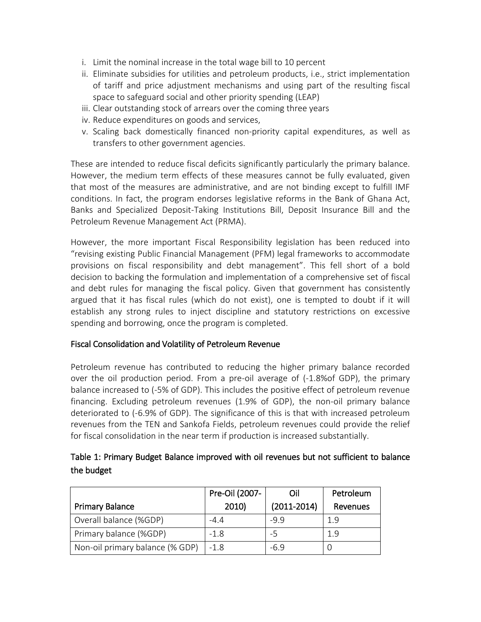- i. Limit the nominal increase in the total wage bill to 10 percent
- ii. Eliminate subsidies for utilities and petroleum products, i.e., strict implementation of tariff and price adjustment mechanisms and using part of the resulting fiscal space to safeguard social and other priority spending (LEAP)
- iii. Clear outstanding stock of arrears over the coming three years
- iv. Reduce expenditures on goods and services,
- v. Scaling back domestically financed non-priority capital expenditures, as well as transfers to other government agencies.

These are intended to reduce fiscal deficits significantly particularly the primary balance. However, the medium term effects of these measures cannot be fully evaluated, given that most of the measures are administrative, and are not binding except to fulfill IMF conditions. In fact, the program endorses legislative reforms in the Bank of Ghana Act, Banks and Specialized Deposit-Taking Institutions Bill, Deposit Insurance Bill and the Petroleum Revenue Management Act (PRMA).

However, the more important Fiscal Responsibility legislation has been reduced into "revising existing Public Financial Management (PFM) legal frameworks to accommodate provisions on fiscal responsibility and debt management". This fell short of a bold decision to backing the formulation and implementation of a comprehensive set of fiscal and debt rules for managing the fiscal policy. Given that government has consistently argued that it has fiscal rules (which do not exist), one is tempted to doubt if it will establish any strong rules to inject discipline and statutory restrictions on excessive spending and borrowing, once the program is completed.

### Fiscal Consolidation and Volatility of Petroleum Revenue

Petroleum revenue has contributed to reducing the higher primary balance recorded over the oil production period. From a pre-oil average of (-1.8%of GDP), the primary balance increased to (-5% of GDP). This includes the positive effect of petroleum revenue financing. Excluding petroleum revenues (1.9% of GDP), the non-oil primary balance deteriorated to (-6.9% of GDP). The significance of this is that with increased petroleum revenues from the TEN and Sankofa Fields, petroleum revenues could provide the relief for fiscal consolidation in the near term if production is increased substantially.

## Table 1: Primary Budget Balance improved with oil revenues but not sufficient to balance the budget

|                                 | Pre-Oil (2007- | Oil             | Petroleum |
|---------------------------------|----------------|-----------------|-----------|
| Primary Balance                 | 2010           | $(2011 - 2014)$ | Revenues  |
| Overall balance (%GDP)          | $-4.4$         | $-9.9$          | 1.9       |
| Primary balance (%GDP)          | $-1.8$         | -5              | 1.9       |
| Non-oil primary balance (% GDP) | $-1.8$         | $-6.9$          |           |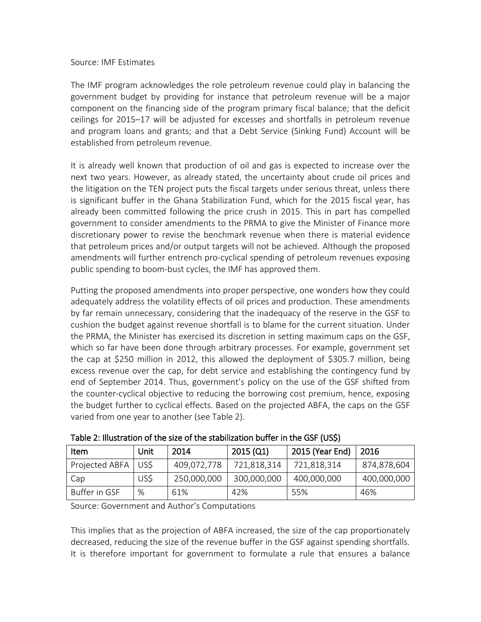#### Source: IMF Estimates

The IMF program acknowledges the role petroleum revenue could play in balancing the government budget by providing for instance that petroleum revenue will be a major component on the financing side of the program primary fiscal balance; that the deficit ceilings for 2015–17 will be adjusted for excesses and shortfalls in petroleum revenue and program loans and grants; and that a Debt Service (Sinking Fund) Account will be established from petroleum revenue.

It is already well known that production of oil and gas is expected to increase over the next two years. However, as already stated, the uncertainty about crude oil prices and the litigation on the TEN project puts the fiscal targets under serious threat, unless there is significant buffer in the Ghana Stabilization Fund, which for the 2015 fiscal year, has already been committed following the price crush in 2015. This in part has compelled government to consider amendments to the PRMA to give the Minister of Finance more discretionary power to revise the benchmark revenue when there is material evidence that petroleum prices and/or output targets will not be achieved. Although the proposed amendments will further entrench pro-cyclical spending of petroleum revenues exposing public spending to boom-bust cycles, the IMF has approved them.

Putting the proposed amendments into proper perspective, one wonders how they could adequately address the volatility effects of oil prices and production. These amendments by far remain unnecessary, considering that the inadequacy of the reserve in the GSF to cushion the budget against revenue shortfall is to blame for the current situation. Under the PRMA, the Minister has exercised its discretion in setting maximum caps on the GSF, which so far have been done through arbitrary processes. For example, government set the cap at \$250 million in 2012, this allowed the deployment of \$305.7 million, being excess revenue over the cap, for debt service and establishing the contingency fund by end of September 2014. Thus, government's policy on the use of the GSF shifted from the counter-cyclical objective to reducing the borrowing cost premium, hence, exposing the budget further to cyclical effects. Based on the projected ABFA, the caps on the GSF varied from one year to another (see Table 2).

| Item           | Unit | 2014        | 2015(Q1)    | 2015 (Year End) | 2016        |
|----------------|------|-------------|-------------|-----------------|-------------|
| Projected ABFA | USS. | 409,072,778 | 721,818,314 | 721,818,314     | 874,878,604 |
| Cap            | US\$ | 250,000,000 | 300,000,000 | 400,000,000     | 400,000,000 |
| Buffer in GSF  | %    | 61%         | 42%         | 55%             | 46%         |

Table 2: Illustration of the size of the stabilization buffer in the GSF (US\$)

Source: Government and Author's Computations

This implies that as the projection of ABFA increased, the size of the cap proportionately decreased, reducing the size of the revenue buffer in the GSF against spending shortfalls. It is therefore important for government to formulate a rule that ensures a balance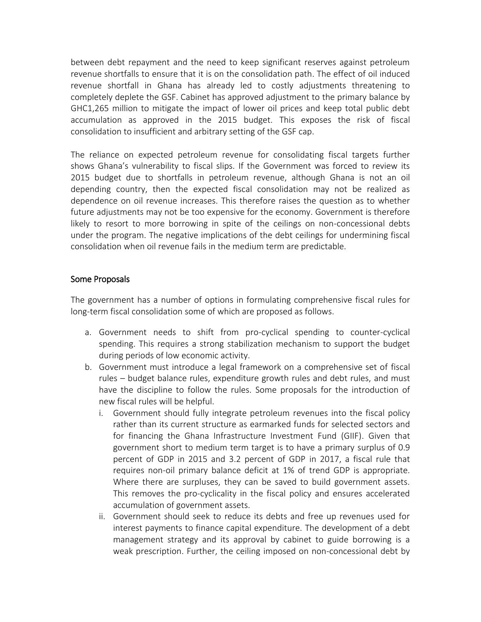between debt repayment and the need to keep significant reserves against petroleum revenue shortfalls to ensure that it is on the consolidation path. The effect of oil induced revenue shortfall in Ghana has already led to costly adjustments threatening to completely deplete the GSF. Cabinet has approved adjustment to the primary balance by GHC1,265 million to mitigate the impact of lower oil prices and keep total public debt accumulation as approved in the 2015 budget. This exposes the risk of fiscal consolidation to insufficient and arbitrary setting of the GSF cap.

The reliance on expected petroleum revenue for consolidating fiscal targets further shows Ghana's vulnerability to fiscal slips. If the Government was forced to review its 2015 budget due to shortfalls in petroleum revenue, although Ghana is not an oil depending country, then the expected fiscal consolidation may not be realized as dependence on oil revenue increases. This therefore raises the question as to whether future adjustments may not be too expensive for the economy. Government is therefore likely to resort to more borrowing in spite of the ceilings on non-concessional debts under the program. The negative implications of the debt ceilings for undermining fiscal consolidation when oil revenue fails in the medium term are predictable.

### Some Proposals

The government has a number of options in formulating comprehensive fiscal rules for long-term fiscal consolidation some of which are proposed as follows.

- a. Government needs to shift from pro-cyclical spending to counter-cyclical spending. This requires a strong stabilization mechanism to support the budget during periods of low economic activity.
- b. Government must introduce a legal framework on a comprehensive set of fiscal rules – budget balance rules, expenditure growth rules and debt rules, and must have the discipline to follow the rules. Some proposals for the introduction of new fiscal rules will be helpful.
	- i. Government should fully integrate petroleum revenues into the fiscal policy rather than its current structure as earmarked funds for selected sectors and for financing the Ghana Infrastructure Investment Fund (GIIF). Given that government short to medium term target is to have a primary surplus of 0.9 percent of GDP in 2015 and 3.2 percent of GDP in 2017, a fiscal rule that requires non-oil primary balance deficit at 1% of trend GDP is appropriate. Where there are surpluses, they can be saved to build government assets. This removes the pro-cyclicality in the fiscal policy and ensures accelerated accumulation of government assets.
	- ii. Government should seek to reduce its debts and free up revenues used for interest payments to finance capital expenditure. The development of a debt management strategy and its approval by cabinet to guide borrowing is a weak prescription. Further, the ceiling imposed on non-concessional debt by